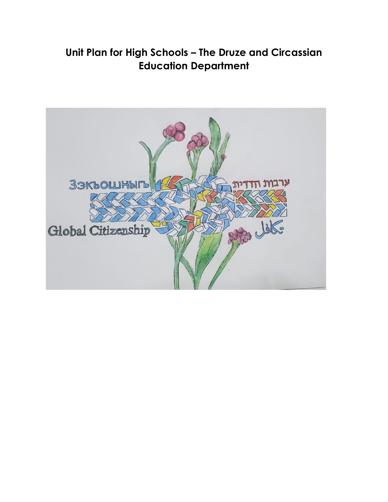# **Unit Plan for High Schools – The Druze and Circassian Education Department**

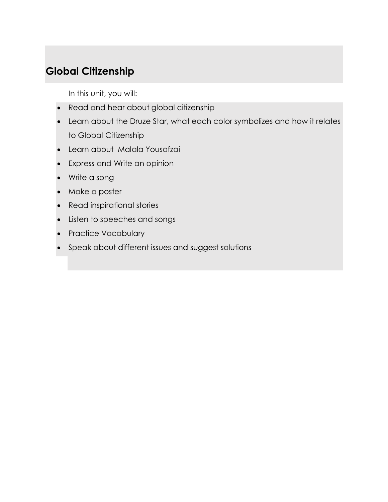# **Global Citizenship**

In this unit, you will:

- Read and hear about global citizenship
- Learn about the Druze Star, what each color symbolizes and how it relates to Global Citizenship
- Learn about Malala Yousafzai
- Express and Write an opinion
- Write a song
- Make a poster
- Read inspirational stories
- Listen to speeches and songs
- Practice Vocabulary
- Speak about different issues and suggest solutions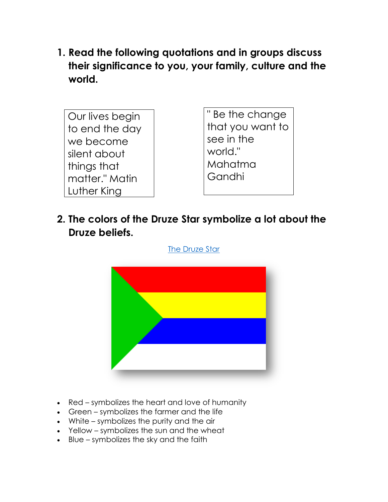**1. Read the following quotations and in groups discuss their significance to you, your family, culture and the world.** 

Our lives begin to end the day we become silent about things that matter." Matin Luther King

" Be the change that you want to see in the world." Mahatma Gandhi

**2. The colors of the Druze Star symbolize a lot about the Druze beliefs.**



- Red symbolizes the heart and love of humanity
- Green symbolizes the farmer and the life
- White symbolizes the purity and the air
- Yellow symbolizes the sun and the wheat
- Blue symbolizes the sky and the faith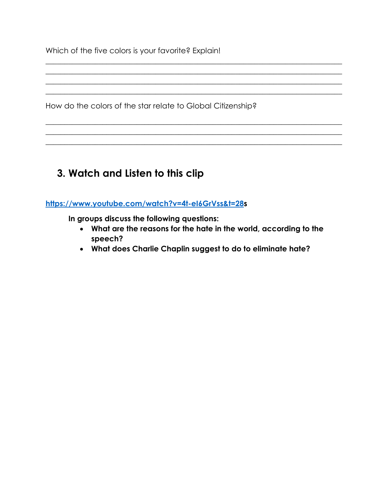Which of the five colors is your favorite? Explain!

How do the colors of the star relate to Global Citizenship?

# **3. Watch and Listen to this clip**

**[https://www.youtube.com/watch?v=4t-eI6GrVss&t=28s](https://www.youtube.com/watch?v=4t-eI6GrVss&t=28)**

**In groups discuss the following questions:**

- **What are the reasons for the hate in the world, according to the speech?**
- **What does Charlie Chaplin suggest to do to eliminate hate?**

 $\_$  , and the set of the set of the set of the set of the set of the set of the set of the set of the set of the set of the set of the set of the set of the set of the set of the set of the set of the set of the set of th  $\_$  , and the set of the set of the set of the set of the set of the set of the set of the set of the set of the set of the set of the set of the set of the set of the set of the set of the set of the set of the set of th  $\_$  , and the set of the set of the set of the set of the set of the set of the set of the set of the set of the set of the set of the set of the set of the set of the set of the set of the set of the set of the set of th  $\_$  , and the set of the set of the set of the set of the set of the set of the set of the set of the set of the set of the set of the set of the set of the set of the set of the set of the set of the set of the set of th

 $\_$  , and the set of the set of the set of the set of the set of the set of the set of the set of the set of the set of the set of the set of the set of the set of the set of the set of the set of the set of the set of th  $\_$  , and the set of the set of the set of the set of the set of the set of the set of the set of the set of the set of the set of the set of the set of the set of the set of the set of the set of the set of the set of th  $\_$  , and the set of the set of the set of the set of the set of the set of the set of the set of the set of the set of the set of the set of the set of the set of the set of the set of the set of the set of the set of th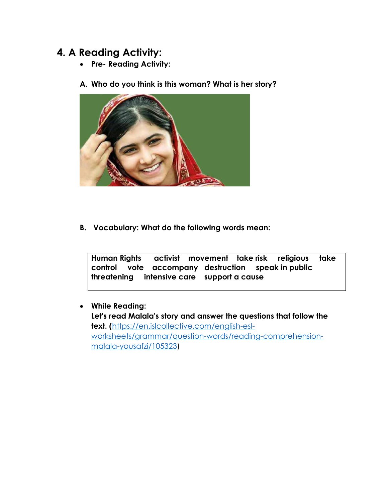# **4. A Reading Activity:**

- **Pre- Reading Activity:**
- **A. Who do you think is this woman? What is her story?**



**B. Vocabulary: What do the following words mean:**



#### **While Reading:**

**Let's read Malala's story and answer the questions that follow the text. (**[https://en.islcollective.com/english-esl](https://en.islcollective.com/english-esl-worksheets/grammar/question-words/reading-comprehension-malala-yousafzi/105323)[worksheets/grammar/question-words/reading-comprehension](https://en.islcollective.com/english-esl-worksheets/grammar/question-words/reading-comprehension-malala-yousafzi/105323)[malala-yousafzi/105323\)](https://en.islcollective.com/english-esl-worksheets/grammar/question-words/reading-comprehension-malala-yousafzi/105323)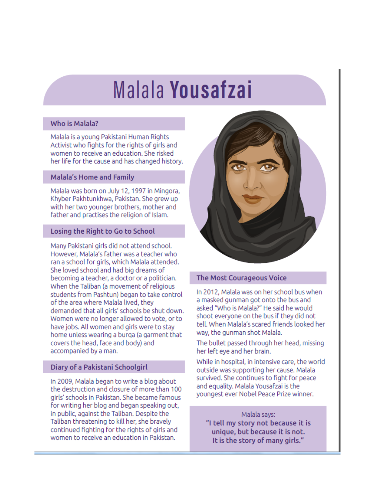# Malala Yousafzai

#### Who is Malala?

Malala is a young Pakistani Human Rights Activist who fights for the rights of girls and women to receive an education. She risked her life for the cause and has changed history.

#### **Malala's Home and Family**

Malala was born on July 12, 1997 in Mingora, Khyber Pakhtunkhwa, Pakistan. She grew up with her two younger brothers, mother and father and practises the religion of Islam.

#### Losing the Right to Go to School

Many Pakistani girls did not attend school. However, Malala's father was a teacher who ran a school for girls, which Malala attended. She loved school and had big dreams of becoming a teacher, a doctor or a politician. When the Taliban (a movement of religious students from Pashtun) began to take control of the area where Malala lived, they demanded that all girls' schools be shut down. Women were no longer allowed to vote, or to have jobs. All women and girls were to stay home unless wearing a burga (a garment that covers the head, face and body) and accompanied by a man.

#### Diary of a Pakistani Schoolgirl

In 2009, Malala began to write a blog about the destruction and closure of more than 100 girls' schools in Pakistan. She became famous for writing her blog and began speaking out, in public, against the Taliban. Despite the Taliban threatening to kill her, she bravely continued fighting for the rights of girls and women to receive an education in Pakistan.



#### **The Most Courageous Voice**

In 2012, Malala was on her school bus when a masked gunman got onto the bus and asked "Who is Malala?" He said he would shoot everyone on the bus if they did not tell. When Malala's scared friends looked her way, the gunman shot Malala.

The bullet passed through her head, missing her left eye and her brain.

While in hospital, in intensive care, the world outside was supporting her cause. Malala survived. She continues to fight for peace and equality. Malala Yousafzai is the youngest ever Nobel Peace Prize winner.

Malala says: "I tell my story not because it is unique, but because it is not. It is the story of many girls."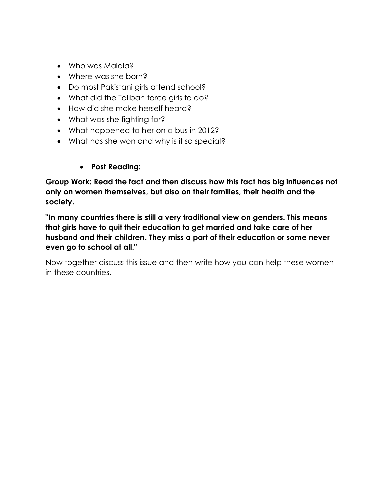- Who was Malala?
- Where was she born?
- Do most Pakistani girls attend school?
- What did the Taliban force girls to do?
- How did she make herself heard?
- What was she fighting for?
- What happened to her on a bus in 2012?
- What has she won and why is it so special?
	- **Post Reading:**

**Group Work: Read the fact and then discuss how this fact has big influences not only on women themselves, but also on their families, their health and the society.**

**"In many countries there is still a very traditional view on genders. This means that girls have to quit their education to get married and take care of her husband and their children. They miss a part of their education or some never even go to school at all."**

Now together discuss this issue and then write how you can help these women in these countries.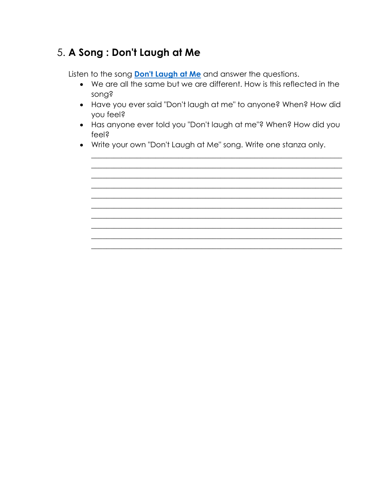# 5. A Song: Don't Laugh at Me

Listen to the song **Don't Laugh at Me** and answer the questions.

- We are all the same but we are different. How is this reflected in the song?
- Have you ever said "Don't laugh at me" to anyone? When? How did you feel?
- Has anyone ever told you "Don't laugh at me"? When? How did you feel?
- Write your own "Don't Laugh at Me" song. Write one stanza only.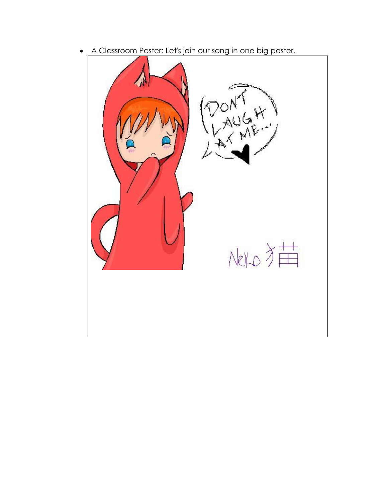A Classroom Poster: Let's join our song in one big poster.

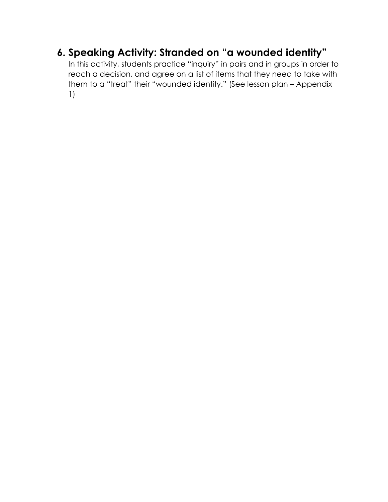# **6. Speaking Activity: Stranded on "a wounded identity"**

In this activity, students practice "inquiry" in pairs and in groups in order to reach a decision, and agree on a list of items that they need to take with them to a "treat" their "wounded identity." (See lesson plan – Appendix 1)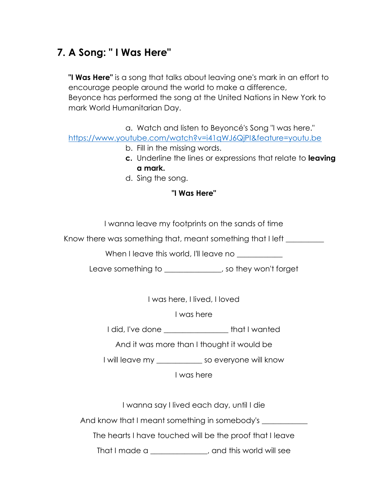# **7. A Song: " I Was Here"**

**"I Was Here"** is a song that talks about leaving one's mark in an effort to encourage people around the world to make a difference, Beyonce has performed the song at the United Nations in New York to mark World Humanitarian Day.

a. Watch and listen to Beyoncé's Song "I was here." <https://www.youtube.com/watch?v=i41qWJ6QjPI&feature=youtu.be>

- b. Fill in the missing words.
- **c.** Underline the lines or expressions that relate to **leaving a mark.**
- d. Sing the song.

#### **"I Was Here"**

I wanna leave my footprints on the sands of time

Know there was something that, meant something that I left \_\_\_\_\_\_\_\_\_

When I leave this world, I'll leave no \_\_\_\_\_\_\_\_\_\_\_\_

Leave something to **Leave**, so they won't forget

I was here, I lived, I loved

I was here

I did, I've done \_\_\_\_\_\_\_\_\_\_\_\_\_\_\_\_\_ that I wanted

And it was more than I thought it would be

I will leave my \_\_\_\_\_\_\_\_\_\_\_\_\_ so everyone will know

I was here

I wanna say I lived each day, until I die

And know that I meant something in somebody's **with the some state** 

The hearts I have touched will be the proof that I leave

That I made a \_\_\_\_\_\_\_\_\_\_\_\_\_\_\_, and this world will see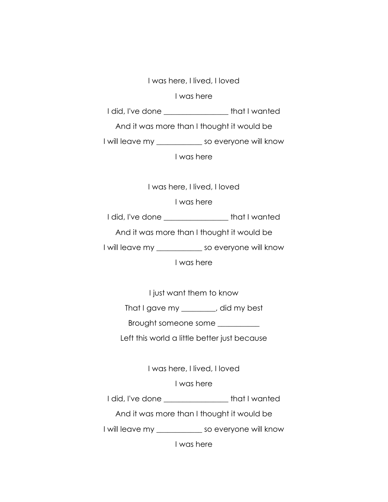I was here, I lived, I loved

I was here

I did, I've done \_\_\_\_\_\_\_\_\_\_\_\_\_\_\_\_\_ that I wanted

And it was more than I thought it would be

I will leave my \_\_\_\_\_\_\_\_\_\_\_\_ so everyone will know

I was here

I was here, I lived, I loved

I was here

I did, I've done \_\_\_\_\_\_\_\_\_\_\_\_\_\_\_\_\_ that I wanted

And it was more than I thought it would be

I will leave my \_\_\_\_\_\_\_\_\_\_\_\_\_ so everyone will know

I was here

I just want them to know

That I gave my \_\_\_\_\_\_\_\_\_, did my best

Brought someone some \_\_\_\_\_\_\_\_\_\_\_

Left this world a little better just because

I was here, I lived, I loved

I was here

I did, I've done \_\_\_\_\_\_\_\_\_\_\_\_\_\_\_\_\_ that I wanted

And it was more than I thought it would be

I will leave my \_\_\_\_\_\_\_\_\_\_\_\_ so everyone will know

I was here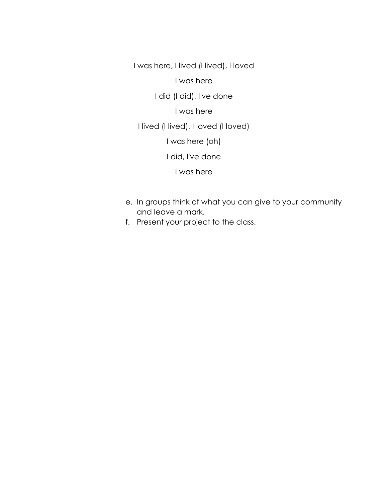I was here, I lived (I lived), I loved

I was here

I did (I did), I've done

I was here

I lived (I lived), I loved (I loved)

I was here (oh)

I did, I've done

I was here

- e. In groups think of what you can give to your community and leave a mark.
- f. Present your project to the class.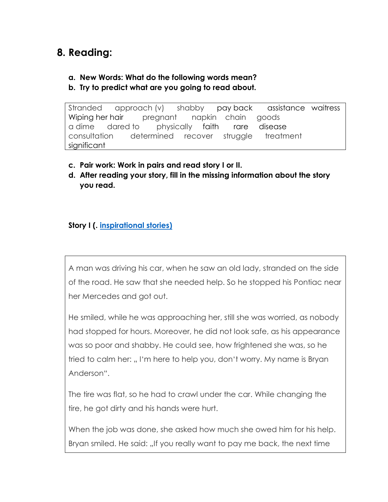# **8. Reading:**

#### **a. New Words: What do the following words mean?**

**b. Try to predict what are you going to read about.** 

Stranded approach (v) shabby pay back assistance waitress Wiping her hair pregnant napkin chain goods a dime dared to physically faith rare disease consultation determined recover struggle treatment significant

- **c. Pair work: Work in pairs and read story I or II.**
- **d. After reading your story, fill in the missing information about the story you read.**

## **Story I (. [inspirational stories\)](https://www.inspirationalstories.eu/stories-about-kindness/)**

A man was driving his car, when he saw an old lady, stranded on the side of the road. He saw that she needed help. So he stopped his Pontiac near her Mercedes and got out.

He smiled, while he was approaching her, still she was worried, as nobody had stopped for hours. Moreover, he did not look safe, as his appearance was so poor and shabby. He could see, how frightened she was, so he tried to calm her: ,, I'm here to help you, don't worry. My name is Bryan Anderson".

The tire was flat, so he had to crawl under the car. While changing the tire, he got dirty and his hands were hurt.

When the job was done, she asked how much she owed him for his help. Bryan smiled. He said: "If you really want to pay me back, the next time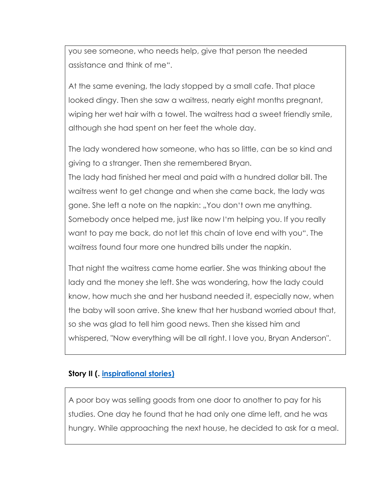you see someone, who needs help, give that person the needed assistance and think of me".

At the same evening, the lady stopped by a small cafe. That place looked dingy. Then she saw a waitress, nearly eight months pregnant, wiping her wet hair with a towel. The waitress had a sweet friendly smile, although she had spent on her feet the whole day.

The lady wondered how someone, who has so little, can be so kind and giving to a stranger. Then she remembered Bryan.

The lady had finished her meal and paid with a hundred dollar bill. The waitress went to get change and when she came back, the lady was gone. She left a note on the napkin: "You don't own me anything. Somebody once helped me, just like now I'm helping you. If you really want to pay me back, do not let this chain of love end with you". The waitress found four more one hundred bills under the napkin.

That night the waitress came home earlier. She was thinking about the lady and the money she left. She was wondering, how the lady could know, how much she and her husband needed it, especially now, when the baby will soon arrive. She knew that her husband worried about that, so she was glad to tell him good news. Then she kissed him and whispered, "Now everything will be all right. I love you, Bryan Anderson".

## **Story II (. [inspirational stories\)](https://www.inspirationalstories.eu/stories-about-kindness/)**

A poor boy was selling goods from one door to another to pay for his studies. One day he found that he had only one dime left, and he was hungry. While approaching the next house, he decided to ask for a meal.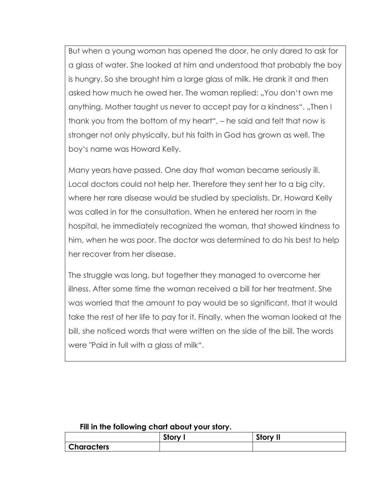But when a young woman has opened the door, he only dared to ask for a glass of water. She looked at him and understood that probably the boy is hungry. So she brought him a large glass of milk. He drank it and then asked how much he owed her. The woman replied: "You don't own me anything. Mother taught us never to accept pay for a kindness". "Then I thank you from the bottom of my heart", – he said and felt that now is stronger not only physically, but his faith in God has grown as well. The boy's name was Howard Kelly.

Many years have passed. One day that woman became seriously ill. Local doctors could not help her. Therefore they sent her to a big city, where her rare disease would be studied by specialists. Dr. Howard Kelly was called in for the consultation. When he entered her room in the hospital, he immediately recognized the woman, that showed kindness to him, when he was poor. The doctor was determined to do his best to help her recover from her disease.

The struggle was long, but together they managed to overcome her illness. After some time the woman received a bill for her treatment. She was worried that the amount to pay would be so significant, that it would take the rest of her life to pay for it. Finally, when the woman looked at the bill, she noticed words that were written on the side of the bill. The words were "Paid in full with a glass of milk".

#### **Fill in the following chart about your story.**

|                   | <b>Story</b> | <b>Story II</b> |
|-------------------|--------------|-----------------|
| <b>Characters</b> |              |                 |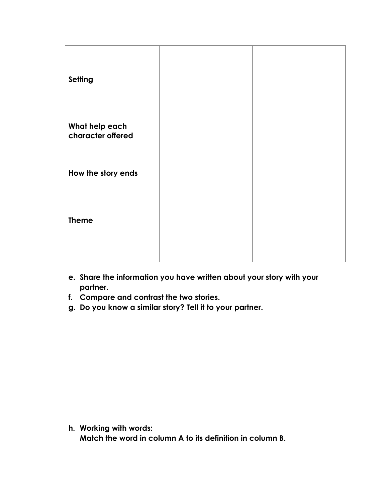| Setting                             |  |
|-------------------------------------|--|
|                                     |  |
| What help each<br>character offered |  |
|                                     |  |
|                                     |  |
| How the story ends                  |  |
|                                     |  |
| <b>Theme</b>                        |  |
|                                     |  |
|                                     |  |

- **e. Share the information you have written about your story with your partner.**
- **f. Compare and contrast the two stories.**
- **g. Do you know a similar story? Tell it to your partner.**

**h. Working with words: Match the word in column A to its definition in column B.**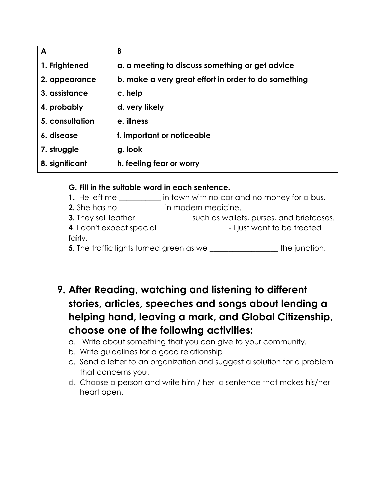| A               | B                                                    |
|-----------------|------------------------------------------------------|
| 1. Frightened   | a. a meeting to discuss something or get advice      |
| 2. appearance   | b. make a very great effort in order to do something |
| 3. assistance   | c. help                                              |
| 4. probably     | d. very likely                                       |
| 5. consultation | e. illness                                           |
| 6. disease      | f. important or noticeable                           |
| 7. struggle     | g. look                                              |
| 8. significant  | h. feeling fear or worry                             |

## **G. Fill in the suitable word in each sentence.**

- **1.** He [left](https://dictionary.cambridge.org/dictionary/english/left) me \_\_\_\_\_\_\_\_\_\_\_ in [town](https://dictionary.cambridge.org/dictionary/english/town) with no [car](https://dictionary.cambridge.org/dictionary/english/car) and no [money](https://dictionary.cambridge.org/dictionary/english/money) for a [bus.](https://dictionary.cambridge.org/dictionary/english/bus)
- **2.** She has no **with the last of medicine**.

**3.** They [sell](https://dictionary.cambridge.org/dictionary/english/sell) [leather](https://dictionary.cambridge.org/dictionary/english/leather) \_\_\_\_\_\_\_\_\_\_\_\_\_\_ such as [wallets,](https://dictionary.cambridge.org/dictionary/english/wallet) [purses,](https://dictionary.cambridge.org/dictionary/english/pocketbook) and [briefcases](https://dictionary.cambridge.org/dictionary/english/briefcase)*.*

**4**. I don't expect special \_\_\_\_\_\_\_\_\_\_\_\_\_\_\_\_\_\_ - I just want to be treated fairly. **5.** The traffic lights turned green as we **Example 20** the junction.

- **9. After Reading, watching and listening to different stories, articles, speeches and songs about lending a helping hand, leaving a mark, and Global Citizenship, choose one of the following activities:**
	- a. Write about something that you can give to your community.
	- b. Write guidelines for a good relationship.
	- c. Send a letter to an organization and suggest a solution for a problem that concerns you.
	- d. Choose a person and write him / her a sentence that makes his/her heart open.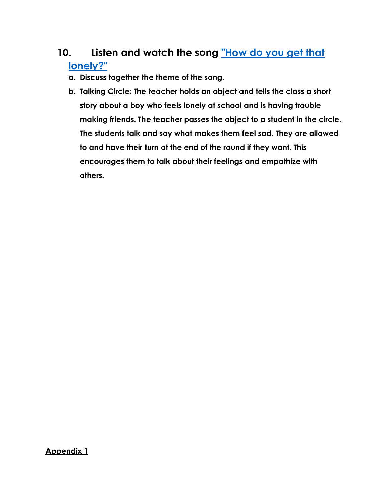# **10. Listen and watch the song ["How do you get that](https://www.youtube.com/watch?v=ZdSaI080VXc)  [lonely?"](https://www.youtube.com/watch?v=ZdSaI080VXc)**

- **a. Discuss together the theme of the song.**
- **b. Talking Circle: The teacher holds an object and tells the class a short story about a boy who feels lonely at school and is having trouble making friends. The teacher passes the object to a student in the circle. The students talk and say what makes them feel sad. They are allowed to and have their turn at the end of the round if they want. This encourages them to talk about their feelings and empathize with others.**

#### **Appendix 1**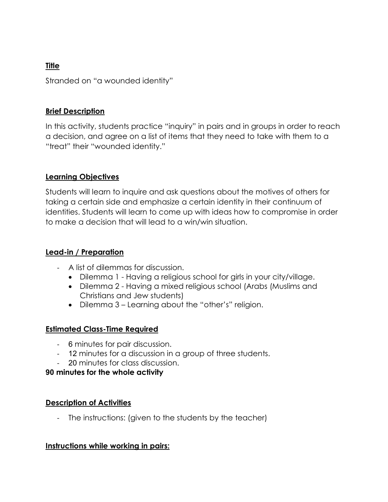## **Title**

Stranded on "a wounded identity"

#### **Brief Description**

In this activity, students practice "inquiry" in pairs and in groups in order to reach a decision, and agree on a list of items that they need to take with them to a "treat" their "wounded identity."

## **Learning Objectives**

Students will learn to inquire and ask questions about the motives of others for taking a certain side and emphasize a certain identity in their continuum of identities. Students will learn to come up with ideas how to compromise in order to make a decision that will lead to a win/win situation.

## **Lead-in / Preparation**

- A list of dilemmas for discussion.
	- Dilemma 1 Having a religious school for girls in your city/village.
	- Dilemma 2 Having a mixed religious school (Arabs (Muslims and Christians and Jew students)
	- Dilemma 3 Learning about the "other's" religion.

## **Estimated Class-Time Required**

- 6 minutes for pair discussion.
- 12 minutes for a discussion in a group of three students.
- 20 minutes for class discussion.

## **90 minutes for the whole activity**

## **Description of Activities**

- The instructions: (given to the students by the teacher)

## **Instructions while working in pairs:**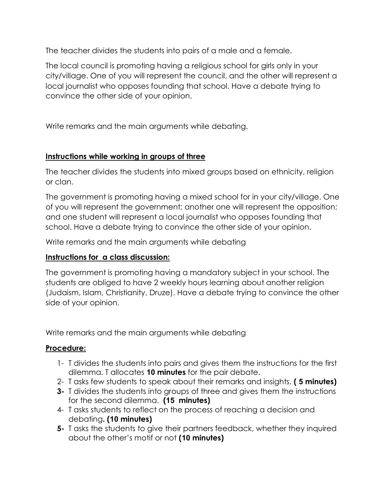The teacher divides the students into pairs of a male and a female.

The local council is promoting having a religious school for girls only in your city/village. One of you will represent the council, and the other will represent a local journalist who opposes founding that school. Have a debate trying to convince the other side of your opinion.

Write remarks and the main arguments while debating.

## **Instructions while working in groups of three**

The teacher divides the students into mixed groups based on ethnicity, religion or clan.

The government is promoting having a mixed school for in your city/village. One of you will represent the government; another one will represent the opposition; and one student will represent a local journalist who opposes founding that school. Have a debate trying to convince the other side of your opinion.

Write remarks and the main arguments while debating

#### **Instructions for a class discussion:**

The government is promoting having a mandatory subject in your school. The students are obliged to have 2 weekly hours learning about another religion (Judaism, Islam, Christianity, Druze). Have a debate trying to convince the other side of your opinion.

Write remarks and the main arguments while debating

## **Procedure:**

- 1- T divides the students into pairs and gives them the instructions for the first dilemma. T allocates **10 minutes** for the pair debate.
- 2- T asks few students to speak about their remarks and insights. **( 5 minutes)**
- **3-** T divides the students into groups of three and gives them the instructions for the second dilemma. **(15 minutes)**
- 4- T asks students to reflect on the process of reaching a decision and debating**. (10 minutes)**
- **5-** T asks the students to give their partners feedback, whether they inquired about the other's motif or not **(10 minutes)**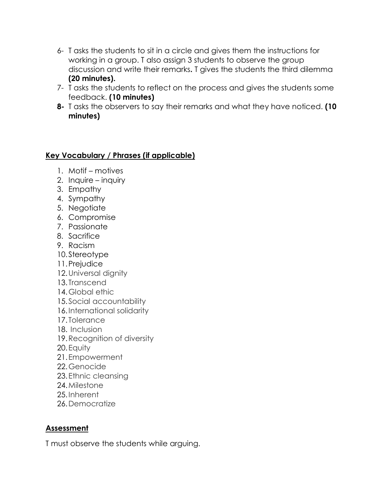- 6- T asks the students to sit in a circle and gives them the instructions for working in a group. T also assign 3 students to observe the group discussion and write their remarks**.** T gives the students the third dilemma **(20 minutes).**
- 7- T asks the students to reflect on the process and gives the students some feedback. **(10 minutes)**
- **8-** T asks the observers to say their remarks and what they have noticed. **(10 minutes)**

## **Key Vocabulary / Phrases (if applicable)**

- 1. Motif motives
- 2. Inquire inquiry
- 3. Empathy
- 4. Sympathy
- 5. Negotiate
- 6. Compromise
- 7. Passionate
- 8. Sacrifice
- 9. Racism
- 10.Stereotype
- 11.Prejudice
- 12.Universal dignity
- 13. Transcend
- 14.Global ethic
- 15.Social accountability
- 16.International solidarity
- 17. Tolerance
- 18. Inclusion
- 19.Recognition of diversity
- 20.Equity
- 21.Empowerment
- 22.Genocide
- 23.Ethnic cleansing
- 24.Milestone
- 25.Inherent
- 26.Democratize

## **Assessment**

T must observe the students while arguing.